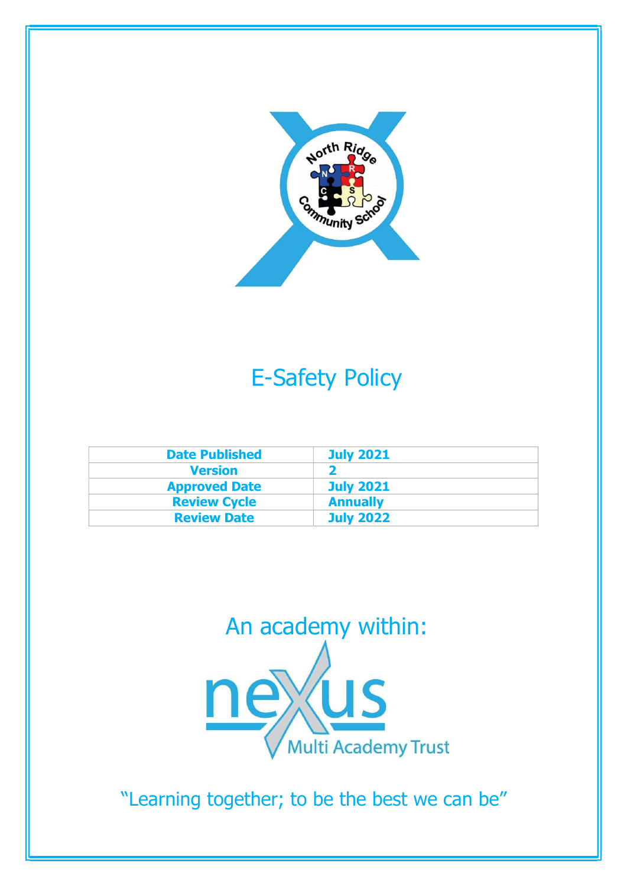

# E-Safety Policy

| <b>Date Published</b> | <b>July 2021</b> |
|-----------------------|------------------|
| <b>Version</b>        |                  |
| <b>Approved Date</b>  | <b>July 2021</b> |
| <b>Review Cycle</b>   | <b>Annually</b>  |
| <b>Review Date</b>    | <b>July 2022</b> |



"Learning together; to be the best we can be"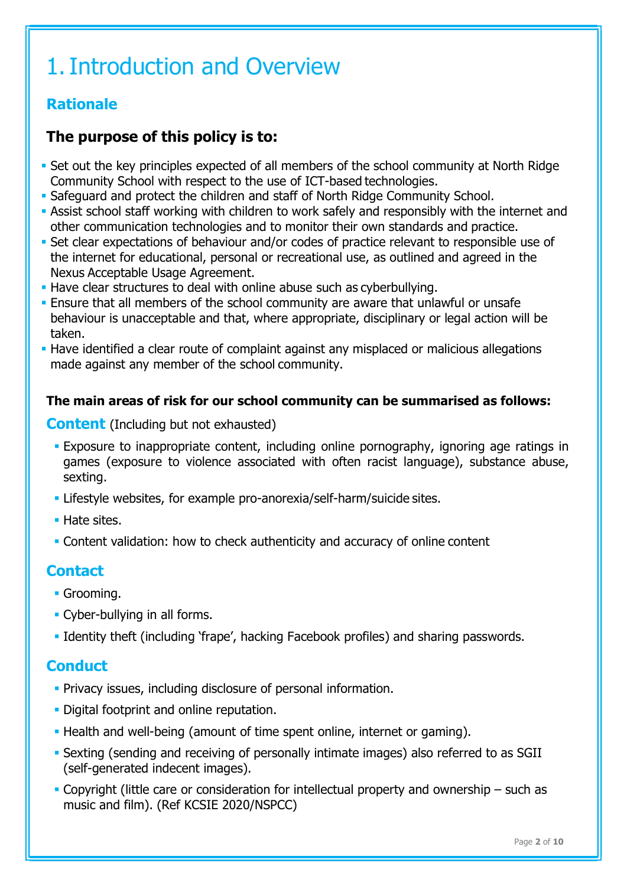# 1.Introduction and Overview

# Rationale

# The purpose of this policy is to:

- Set out the key principles expected of all members of the school community at North Ridge Community School with respect to the use of ICT-based technologies.
- Safeguard and protect the children and staff of North Ridge Community School.
- Assist school staff working with children to work safely and responsibly with the internet and other communication technologies and to monitor their own standards and practice.
- Set clear expectations of behaviour and/or codes of practice relevant to responsible use of the internet for educational, personal or recreational use, as outlined and agreed in the Nexus Acceptable Usage Agreement.
- Have clear structures to deal with online abuse such as cyberbullying.
- Ensure that all members of the school community are aware that unlawful or unsafe behaviour is unacceptable and that, where appropriate, disciplinary or legal action will be taken.
- **Have identified a clear route of complaint against any misplaced or malicious allegations** made against any member of the school community.

# The main areas of risk for our school community can be summarised as follows:

## **Content** (Including but not exhausted)

- Exposure to inappropriate content, including online pornography, ignoring age ratings in games (exposure to violence associated with often racist language), substance abuse, sexting.
- Lifestyle websites, for example pro-anorexia/self-harm/suicide sites.
- **Hate sites.**
- Content validation: how to check authenticity and accuracy of online content

# **Contact**

- **Grooming.**
- Cyber-bullying in all forms.
- Identity theft (including 'frape', hacking Facebook profiles) and sharing passwords.

# **Conduct**

- **Privacy issues, including disclosure of personal information.**
- **Digital footprint and online reputation.**
- Health and well-being (amount of time spent online, internet or gaming).
- Sexting (sending and receiving of personally intimate images) also referred to as SGII (self-generated indecent images).
- Copyright (little care or consideration for intellectual property and ownership such as music and film). (Ref KCSIE 2020/NSPCC)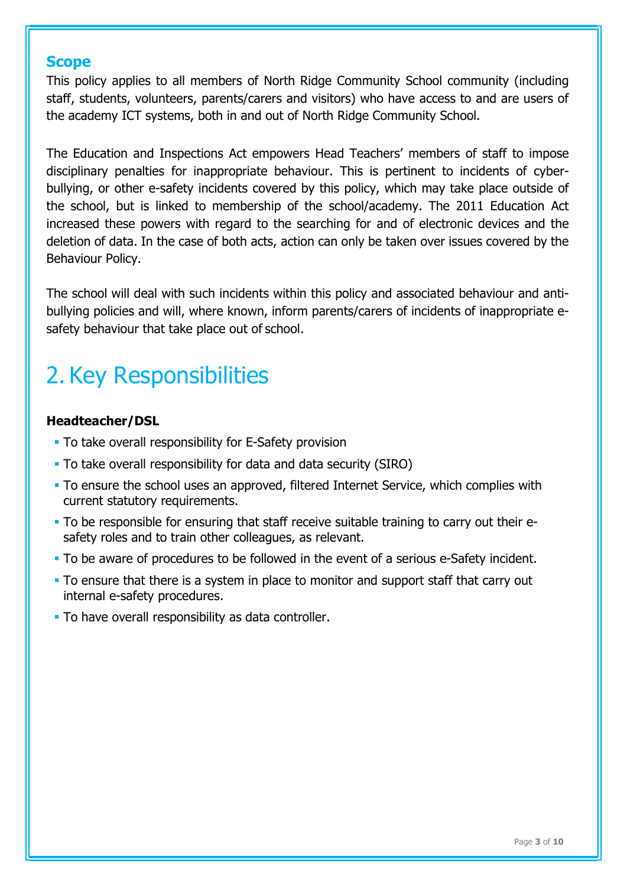## **Scope**

This policy applies to all members of North Ridge Community School community (including staff, students, volunteers, parents/carers and visitors) who have access to and are users of the academy ICT systems, both in and out of North Ridge Community School.

The Education and Inspections Act empowers Head Teachers' members of staff to impose disciplinary penalties for inappropriate behaviour. This is pertinent to incidents of cyberbullying, or other e-safety incidents covered by this policy, which may take place outside of the school, but is linked to membership of the school/academy. The 2011 Education Act increased these powers with regard to the searching for and of electronic devices and the deletion of data. In the case of both acts, action can only be taken over issues covered by the Behaviour Policy.

The school will deal with such incidents within this policy and associated behaviour and antibullying policies and will, where known, inform parents/carers of incidents of inappropriate esafety behaviour that take place out of school.

# 2. Key Responsibilities

## Headteacher/DSL

- To take overall responsibility for E-Safety provision
- To take overall responsibility for data and data security (SIRO)
- To ensure the school uses an approved, filtered Internet Service, which complies with current statutory requirements.
- To be responsible for ensuring that staff receive suitable training to carry out their esafety roles and to train other colleagues, as relevant.
- To be aware of procedures to be followed in the event of a serious e-Safety incident.
- To ensure that there is a system in place to monitor and support staff that carry out internal e-safety procedures.
- To have overall responsibility as data controller.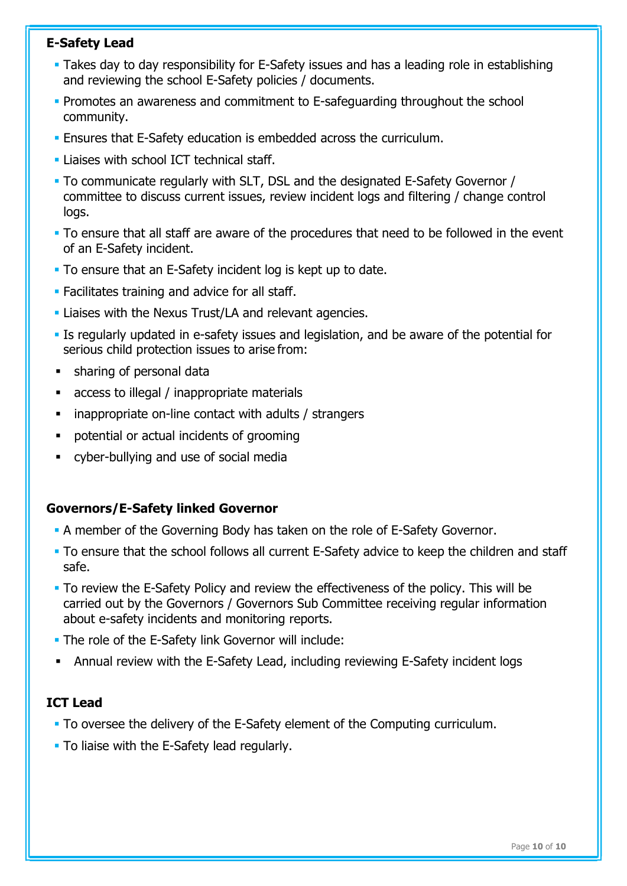## E-Safety Lead

- Takes day to day responsibility for E-Safety issues and has a leading role in establishing and reviewing the school E-Safety policies / documents.
- **Promotes an awareness and commitment to E-safeguarding throughout the school** community.
- Ensures that E-Safety education is embedded across the curriculum.
- **Liaises with school ICT technical staff.**
- To communicate regularly with SLT, DSL and the designated E-Safety Governor / committee to discuss current issues, review incident logs and filtering / change control logs.
- To ensure that all staff are aware of the procedures that need to be followed in the event of an E-Safety incident.
- To ensure that an E-Safety incident log is kept up to date.
- **Facilitates training and advice for all staff.**
- Liaises with the Nexus Trust/LA and relevant agencies.
- Is regularly updated in e-safety issues and legislation, and be aware of the potential for serious child protection issues to arise from:
- sharing of personal data
- access to illegal / inappropriate materials
- inappropriate on-line contact with adults / strangers
- potential or actual incidents of grooming
- cyber-bullying and use of social media

## Governors/E-Safety linked Governor

- A member of the Governing Body has taken on the role of E-Safety Governor.
- To ensure that the school follows all current E-Safety advice to keep the children and staff safe.
- To review the E-Safety Policy and review the effectiveness of the policy. This will be carried out by the Governors / Governors Sub Committee receiving regular information about e-safety incidents and monitoring reports.
- **The role of the E-Safety link Governor will include:**
- Annual review with the E-Safety Lead, including reviewing E-Safety incident logs

## ICT Lead

- To oversee the delivery of the E-Safety element of the Computing curriculum.
- **To liaise with the E-Safety lead regularly.**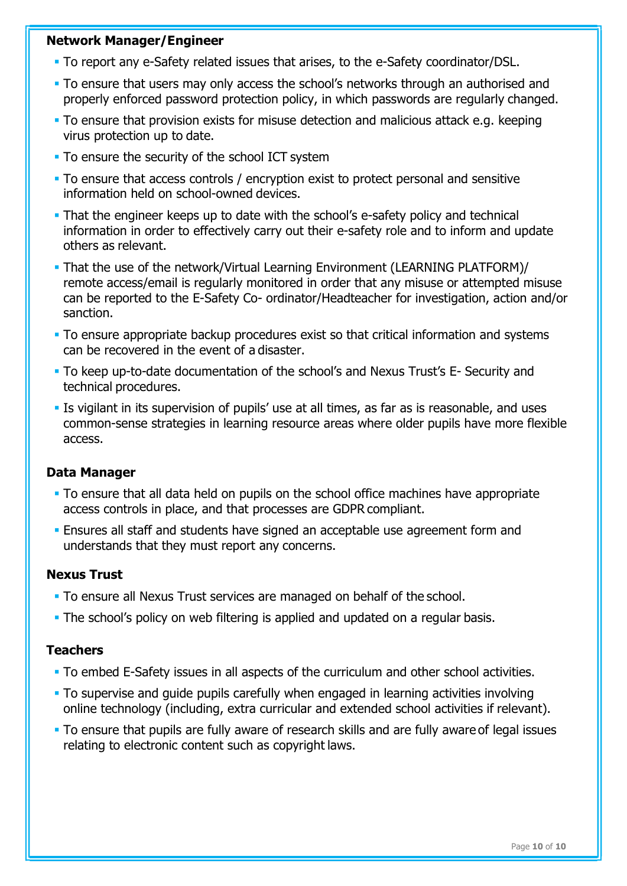#### Network Manager/Engineer

- To report any e-Safety related issues that arises, to the e-Safety coordinator/DSL.
- To ensure that users may only access the school's networks through an authorised and properly enforced password protection policy, in which passwords are regularly changed.
- To ensure that provision exists for misuse detection and malicious attack e.g. keeping virus protection up to date.
- **To ensure the security of the school ICT system**
- To ensure that access controls / encryption exist to protect personal and sensitive information held on school-owned devices.
- That the engineer keeps up to date with the school's e-safety policy and technical information in order to effectively carry out their e-safety role and to inform and update others as relevant.
- That the use of the network/Virtual Learning Environment (LEARNING PLATFORM)/ remote access/email is regularly monitored in order that any misuse or attempted misuse can be reported to the E-Safety Co- ordinator/Headteacher for investigation, action and/or sanction.
- To ensure appropriate backup procedures exist so that critical information and systems can be recovered in the event of a disaster.
- To keep up-to-date documentation of the school's and Nexus Trust's E- Security and technical procedures.
- Is vigilant in its supervision of pupils' use at all times, as far as is reasonable, and uses common-sense strategies in learning resource areas where older pupils have more flexible access.

#### Data Manager

- To ensure that all data held on pupils on the school office machines have appropriate access controls in place, and that processes are GDPR compliant.
- Ensures all staff and students have signed an acceptable use agreement form and understands that they must report any concerns.

#### Nexus Trust

- To ensure all Nexus Trust services are managed on behalf of the school.
- The school's policy on web filtering is applied and updated on a regular basis.

#### **Teachers**

- To embed E-Safety issues in all aspects of the curriculum and other school activities.
- To supervise and guide pupils carefully when engaged in learning activities involving online technology (including, extra curricular and extended school activities if relevant).
- To ensure that pupils are fully aware of research skills and are fully aware of legal issues relating to electronic content such as copyright laws.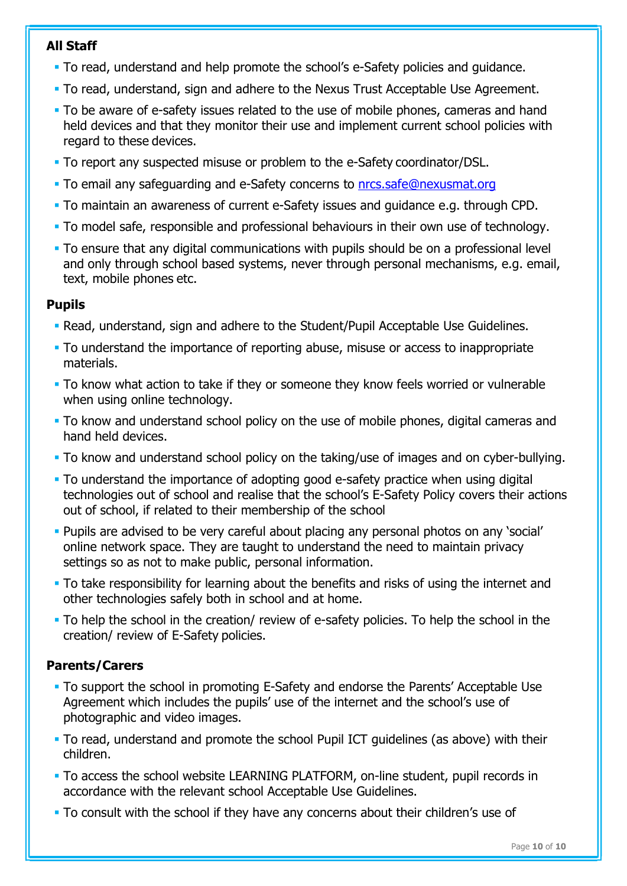## All Staff

- To read, understand and help promote the school's e-Safety policies and guidance.
- To read, understand, sign and adhere to the Nexus Trust Acceptable Use Agreement.
- To be aware of e-safety issues related to the use of mobile phones, cameras and hand held devices and that they monitor their use and implement current school policies with regard to these devices.
- To report any suspected misuse or problem to the e-Safety coordinator/DSL.
- To email any safeguarding and e-Safety concerns to nrcs.safe@nexusmat.org
- To maintain an awareness of current e-Safety issues and guidance e.g. through CPD.
- To model safe, responsible and professional behaviours in their own use of technology.
- To ensure that any digital communications with pupils should be on a professional level and only through school based systems, never through personal mechanisms, e.g. email, text, mobile phones etc.

#### Pupils

- Read, understand, sign and adhere to the Student/Pupil Acceptable Use Guidelines.
- To understand the importance of reporting abuse, misuse or access to inappropriate materials.
- To know what action to take if they or someone they know feels worried or vulnerable when using online technology.
- To know and understand school policy on the use of mobile phones, digital cameras and hand held devices.
- To know and understand school policy on the taking/use of images and on cyber-bullying.
- To understand the importance of adopting good e-safety practice when using digital technologies out of school and realise that the school's E-Safety Policy covers their actions out of school, if related to their membership of the school
- Pupils are advised to be very careful about placing any personal photos on any 'social' online network space. They are taught to understand the need to maintain privacy settings so as not to make public, personal information.
- To take responsibility for learning about the benefits and risks of using the internet and other technologies safely both in school and at home.
- To help the school in the creation/ review of e-safety policies. To help the school in the creation/ review of E-Safety policies.

# Parents/Carers

- To support the school in promoting E-Safety and endorse the Parents' Acceptable Use Agreement which includes the pupils' use of the internet and the school's use of photographic and video images.
- To read, understand and promote the school Pupil ICT guidelines (as above) with their children.
- To access the school website LEARNING PLATFORM, on-line student, pupil records in accordance with the relevant school Acceptable Use Guidelines.
- To consult with the school if they have any concerns about their children's use of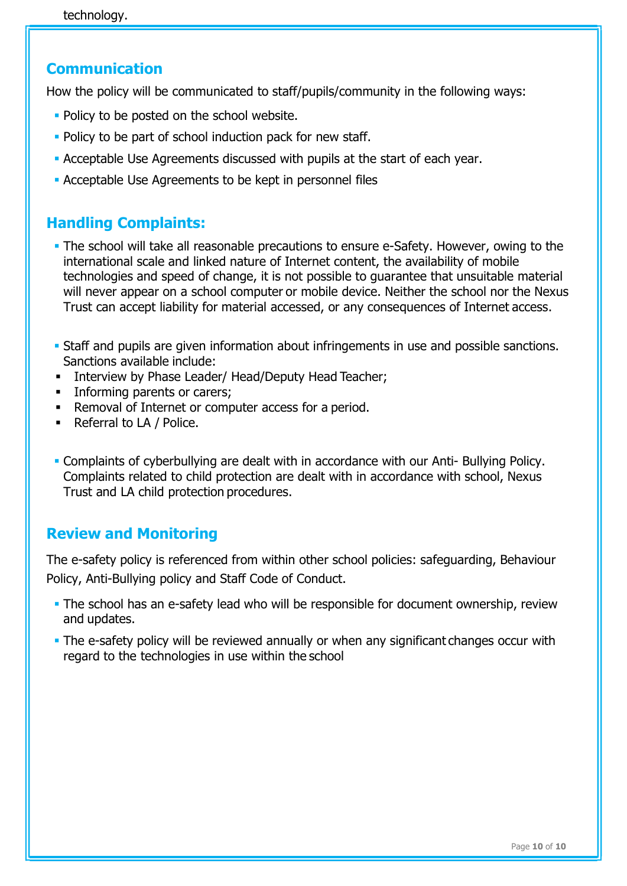# Communication

How the policy will be communicated to staff/pupils/community in the following ways:

- Policy to be posted on the school website.
- **Policy to be part of school induction pack for new staff.**
- Acceptable Use Agreements discussed with pupils at the start of each year.
- Acceptable Use Agreements to be kept in personnel files

# Handling Complaints:

- The school will take all reasonable precautions to ensure e-Safety. However, owing to the international scale and linked nature of Internet content, the availability of mobile technologies and speed of change, it is not possible to guarantee that unsuitable material will never appear on a school computer or mobile device. Neither the school nor the Nexus Trust can accept liability for material accessed, or any consequences of Internet access.
- Staff and pupils are given information about infringements in use and possible sanctions. Sanctions available include:
- **Interview by Phase Leader/ Head/Deputy Head Teacher;**
- **Informing parents or carers;**
- **EXECT** Removal of Internet or computer access for a period.
- Referral to LA / Police.
- Complaints of cyberbullying are dealt with in accordance with our Anti- Bullying Policy. Complaints related to child protection are dealt with in accordance with school, Nexus Trust and LA child protection procedures.

# Review and Monitoring

The e-safety policy is referenced from within other school policies: safeguarding, Behaviour Policy, Anti-Bullying policy and Staff Code of Conduct.

- The school has an e-safety lead who will be responsible for document ownership, review and updates.
- The e-safety policy will be reviewed annually or when any significant changes occur with regard to the technologies in use within the school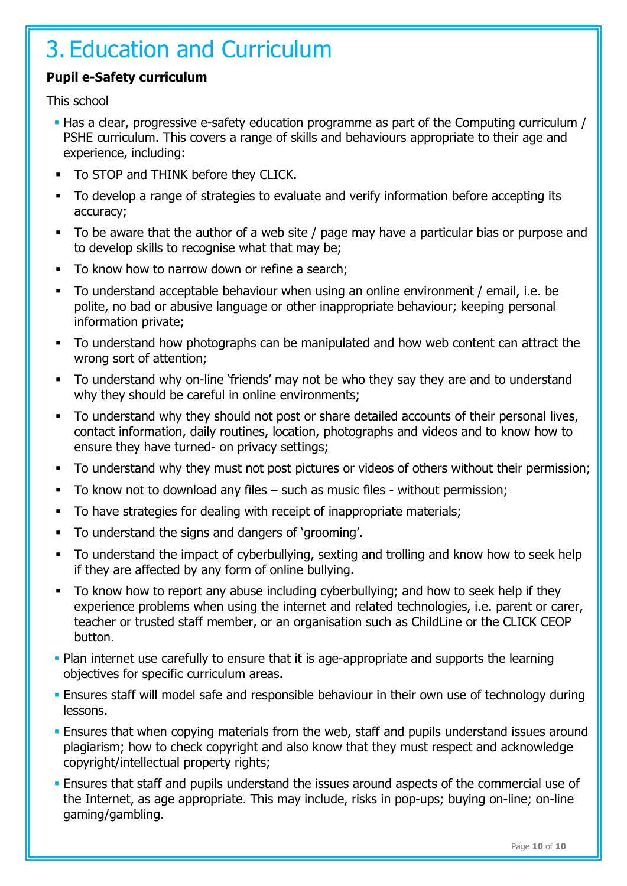# 3. Education and Curriculum

## Pupil e-Safety curriculum

This school

- Has a clear, progressive e-safety education programme as part of the Computing curriculum / PSHE curriculum. This covers a range of skills and behaviours appropriate to their age and experience, including:
- To STOP and THINK before they CLICK.
- To develop a range of strategies to evaluate and verify information before accepting its accuracy;
- To be aware that the author of a web site / page may have a particular bias or purpose and to develop skills to recognise what that may be;
- To know how to narrow down or refine a search;
- To understand acceptable behaviour when using an online environment / email, i.e. be polite, no bad or abusive language or other inappropriate behaviour; keeping personal information private;
- To understand how photographs can be manipulated and how web content can attract the wrong sort of attention;
- To understand why on-line 'friends' may not be who they say they are and to understand why they should be careful in online environments;
- To understand why they should not post or share detailed accounts of their personal lives, contact information, daily routines, location, photographs and videos and to know how to ensure they have turned- on privacy settings;
- To understand why they must not post pictures or videos of others without their permission;
- To know not to download any files such as music files without permission;
- To have strategies for dealing with receipt of inappropriate materials;
- To understand the signs and dangers of 'grooming'.
- To understand the impact of cyberbullying, sexting and trolling and know how to seek help if they are affected by any form of online bullying.
- To know how to report any abuse including cyberbullying; and how to seek help if they experience problems when using the internet and related technologies, i.e. parent or carer, teacher or trusted staff member, or an organisation such as ChildLine or the CLICK CEOP button.
- Plan internet use carefully to ensure that it is age-appropriate and supports the learning objectives for specific curriculum areas.
- Ensures staff will model safe and responsible behaviour in their own use of technology during lessons.
- **Ensures that when copying materials from the web, staff and pupils understand issues around Fig. 2.** plagiarism; how to check copyright and also know that they must respect and acknowledge copyright/intellectual property rights;
- **Ensures that staff and pupils understand the issues around aspects of the commercial use of** the Internet, as age appropriate. This may include, risks in pop-ups; buying on-line; on-line gaming/gambling.